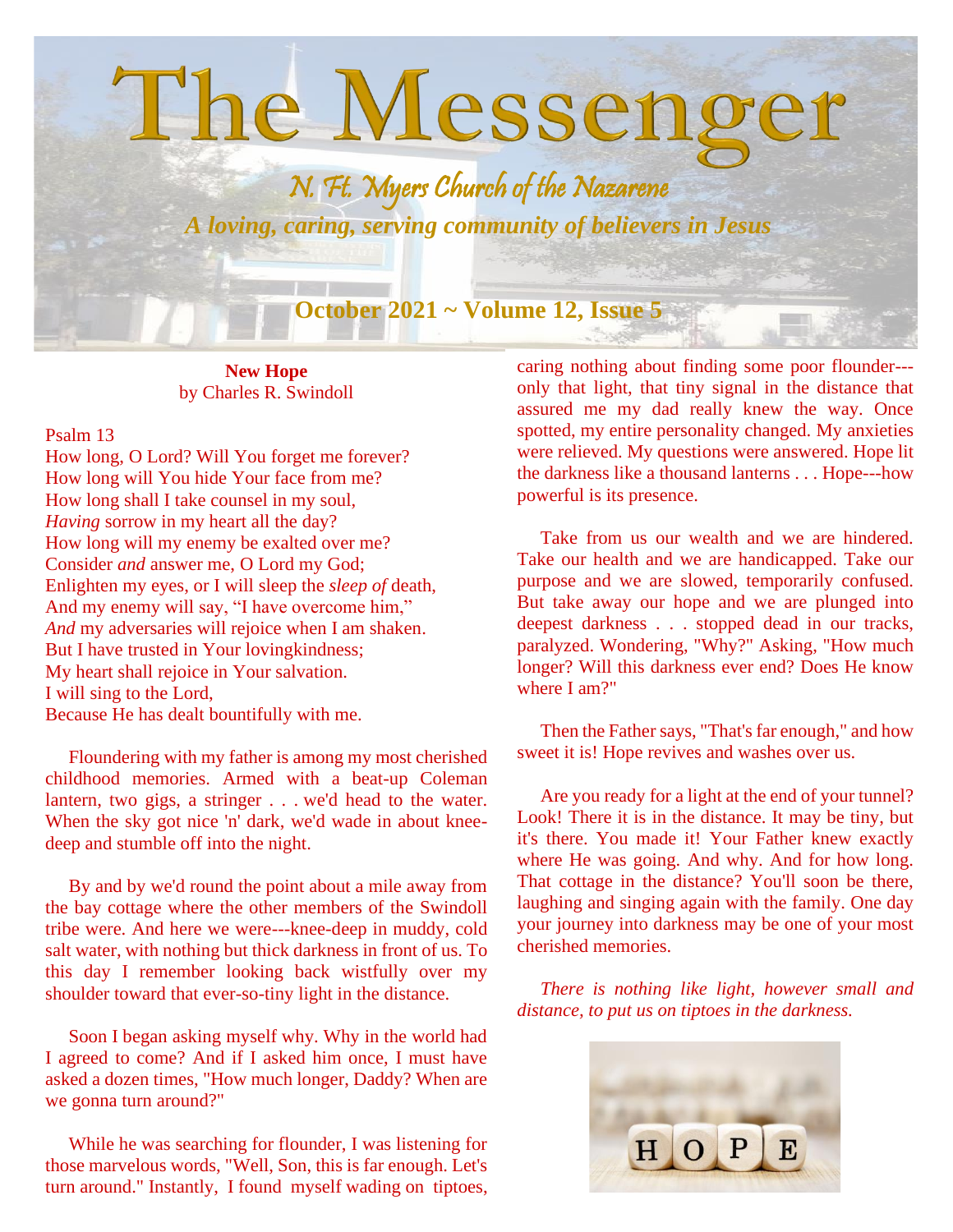

**New Hope** by Charles R. Swindoll

## Psalm 13

How long, O Lord? Will You forget me forever? How long will You hide Your face from me? How long shall I take counsel in my soul, *Having* sorrow in my heart all the day? How long will my enemy be exalted over me? Consider *and* answer me, O Lord my God; Enlighten my eyes, or I will sleep the *sleep of* death, And my enemy will say, "I have overcome him," *And* my adversaries will rejoice when I am shaken. But I have trusted in Your lovingkindness; My heart shall rejoice in Your salvation. I will sing to the Lord, Because He has dealt bountifully with me.

 Floundering with my father is among my most cherished childhood memories. Armed with a beat-up Coleman lantern, two gigs, a stringer . . . we'd head to the water. When the sky got nice 'n' dark, we'd wade in about kneedeep and stumble off into the night.

 By and by we'd round the point about a mile away from the bay cottage where the other members of the Swindoll tribe were. And here we were---knee-deep in muddy, cold salt water, with nothing but thick darkness in front of us. To this day I remember looking back wistfully over my shoulder toward that ever-so-tiny light in the distance.

 Soon I began asking myself why. Why in the world had I agreed to come? And if I asked him once, I must have asked a dozen times, "How much longer, Daddy? When are we gonna turn around?"

 While he was searching for flounder, I was listening for those marvelous words, "Well, Son, this is far enough. Let's turn around." Instantly, I found myself wading on tiptoes,

caring nothing about finding some poor flounder-- only that light, that tiny signal in the distance that assured me my dad really knew the way. Once spotted, my entire personality changed. My anxieties were relieved. My questions were answered. Hope lit the darkness like a thousand lanterns . . . Hope---how powerful is its presence.

 Take from us our wealth and we are hindered. Take our health and we are handicapped. Take our purpose and we are slowed, temporarily confused. But take away our hope and we are plunged into deepest darkness . . . stopped dead in our tracks, paralyzed. Wondering, "Why?" Asking, "How much longer? Will this darkness ever end? Does He know where I am?"

 Then the Father says, "That's far enough," and how sweet it is! Hope revives and washes over us.

 Are you ready for a light at the end of your tunnel? Look! There it is in the distance. It may be tiny, but it's there. You made it! Your Father knew exactly where He was going. And why. And for how long. That cottage in the distance? You'll soon be there, laughing and singing again with the family. One day your journey into darkness may be one of your most cherished memories.

 *There is nothing like light, however small and distance, to put us on tiptoes in the darkness.*